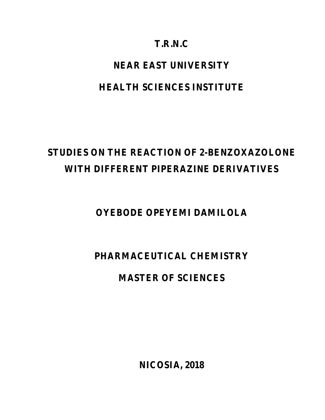# **T.R.N.C**

# **NEAR EAST UNIVERSITY**

# **HEALTH SCIENCES INSTITUTE**

# **STUDIES ON THE REACTION OF 2-BENZOXAZOLONE WITH DIFFERENT PIPERAZINE DERIVATIVES**

**OYEBODE OPEYEMI DAMILOLA**

# **PHARMACEUTICAL CHEMISTRY**

# **MASTER OF SCIENCES**

**NICOSIA, 2018**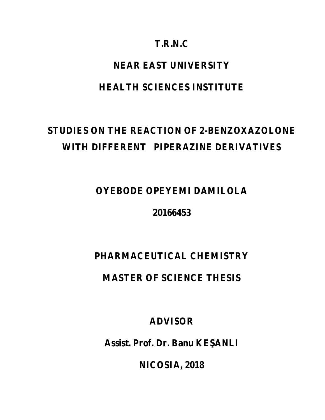# **T.R.N.C**

# **NEAR EAST UNIVERSITY**

# **HEALTH SCIENCES INSTITUTE**

# **STUDIES ON THE REACTION OF 2-BENZOXAZOLONE WITH DIFFERENT PIPERAZINE DERIVATIVES**

# **OYEBODE OPEYEMI DAMILOLA**

# **20166453**

# **PHARMACEUTICAL CHEMISTRY**

# **MASTER OF SCIENCE THESIS**

**ADVISOR**

Assist. Prof. Dr. Banu KE ANLI

**NICOSIA, 2018**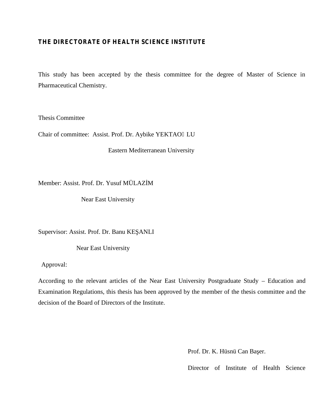# **THE DIRECTORATE OF HEALTH SCIENCE INSTITUTE**

This study has been accepted by the thesis committee for the degree of Master of Science in Pharmaceutical Chemistry.

Thesis Committee

Chair of committee: Assist. Prof. Dr. Aybike YEKTAO LU

Eastern Mediterranean University

Member: Assist. Prof. Dr. Yusuf MÜLAZ M

Near East University

Supervisor: Assist. Prof. Dr. Banu KE ANLI

Near East University

Approval:

According to the relevant articles of the Near East University Postgraduate Study – Education and Examination Regulations, this thesis has been approved by the member of the thesis committee and the decision of the Board of Directors of the Institute.

Prof. Dr. K. Hüsnü Can Baer.

Director of Institute of Health Science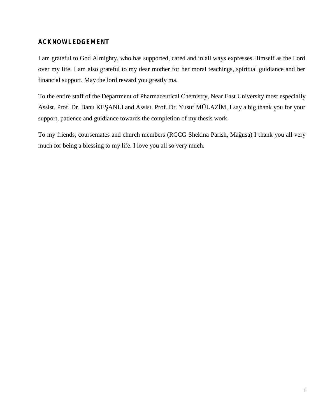# **ACKNOWLEDGEMENT**

I am grateful to God Almighty, who has supported, cared and in all ways expresses Himself as the Lord over my life. I am also grateful to my dear mother for her moral teachings, spiritual guidiance and her financial support. May the lord reward you greatly ma.

To the entire staff of the Department of Pharmaceutical Chemistry, Near East University most especially Assist. Prof. Dr. Banu KE ANLI and Assist. Prof. Dr. Yusuf MÜLAZ M, I say a big thank you for your support, patience and guidiance towards the completion of my thesis work.

To my friends, coursemates and church members (RCCG Shekina Parish, Mağusa) I thank you all very much for being a blessing to my life. I love you all so very much.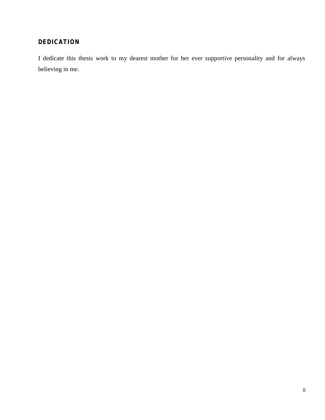# **DEDICATION**

I dedicate this thesis work to my dearest mother for her ever supportive personality and for always believing in me.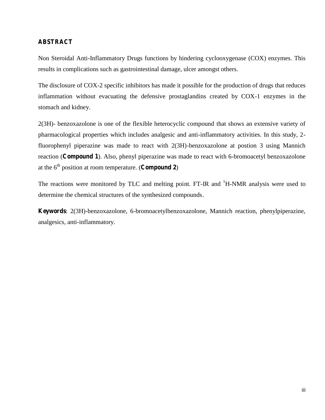# **ABSTRACT**

Non Steroidal Anti-Inflammatory Drugs functions by hindering cyclooxygenase (COX) enzymes. This results in complications such as gastrointestinal damage, ulcer amongst others.

The disclosure of COX-2 specific inhibitors has made it possible for the production of drugs that reduces inflammation without evacuating the defensive prostaglandins created by COX-1 enzymes in the stomach and kidney.

2(3H)- benzoxazolone is one of the flexible heterocyclic compound that shows an extensive variety of pharmacological properties which includes analgesic and anti-inflammatory activities. In this study, 2 fluorophenyl piperazine was made to react with 2(3H)-benzoxazolone at postion 3 using Mannich reaction (**Compound 1**). Also, phenyl piperazine was made to react with 6-bromoacetyl benzoxazolone at the  $6<sup>th</sup>$  position at room temperature. (**Compound 2**)

The reactions were monitored by TLC and melting point. FT-IR and <sup>1</sup>H-NMR analysis were used to determine the chemical structures of the synthesized compounds.

**Keywords**: 2(3H)-benzoxazolone, 6-bromoacetylbenzoxazolone, Mannich reaction, phenylpiperazine, analgesics, anti-inflammatory.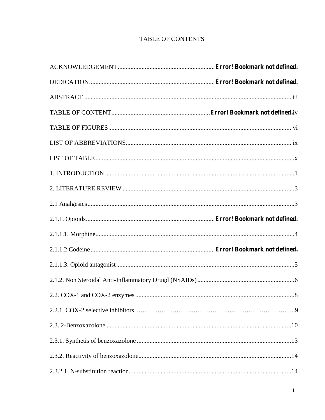# **TABLE OF CONTENTS**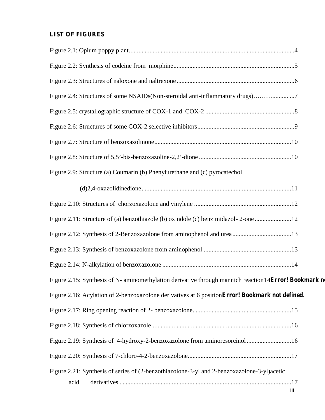# **LIST OF FIGURES**

| Figure 2.4: Structures of some NSAIDs(Non-steroidal anti-inflammatory drugs)                           |     |
|--------------------------------------------------------------------------------------------------------|-----|
|                                                                                                        |     |
|                                                                                                        |     |
|                                                                                                        |     |
|                                                                                                        |     |
| Figure 2.9: Structure (a) Coumarin (b) Phenylurethane and (c) pyrocatechol                             |     |
|                                                                                                        |     |
|                                                                                                        |     |
| Figure 2.11: Structure of (a) benzothiazole (b) oxindole (c) benzimidazol-2-one 12                     |     |
|                                                                                                        |     |
|                                                                                                        |     |
|                                                                                                        |     |
| Figure 2.15: Synthesis of N- aminomethylation derivative through mannich reaction 14Error! Bookmark no |     |
| Figure 2.16: Acylation of 2-benzoxazolone derivatives at 6 position Error! Bookmark not defined.       |     |
|                                                                                                        |     |
|                                                                                                        |     |
| Figure 2.19: Synthesis of 4-hydroxy-2-benzoxazolone from aminoresorcinol 16                            |     |
|                                                                                                        |     |
| Figure 2.21: Synthesis of series of (2-benzothiazolone-3-yl and 2-benzoxazolone-3-yl) acetic           |     |
| acid                                                                                                   | iii |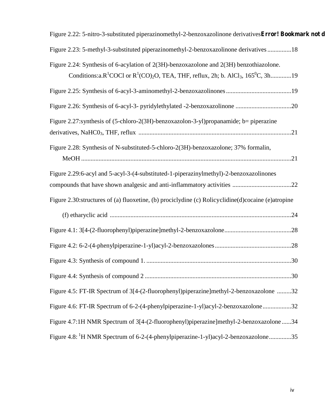| Figure 2.22: 5-nitro-3-substituted piperazinomethyl-2-benzoxazolinone derivatives Error! Bookmark not d                                                                                                                                  |  |
|------------------------------------------------------------------------------------------------------------------------------------------------------------------------------------------------------------------------------------------|--|
| Figure 2.23: 5-methyl-3-substituted piperazinomethyl-2-benzoxazolinone derivatives 18                                                                                                                                                    |  |
| Figure 2.24: Synthesis of 6-acylation of 2(3H)-benzoxazolone and 2(3H) benzothiazolone.<br>Conditions:a.R <sup>1</sup> COCl or R <sup>1</sup> (CO) <sub>2</sub> O, TEA, THF, reflux, 2h; b. AlCl <sub>3</sub> , 165 <sup>0</sup> C, 3h19 |  |
|                                                                                                                                                                                                                                          |  |
|                                                                                                                                                                                                                                          |  |
| Figure 2.27: synthesis of (5-chloro-2(3H)-benzoxazolon-3-yl) propanamide; b= piperazine                                                                                                                                                  |  |
|                                                                                                                                                                                                                                          |  |
| Figure 2.28: Synthesis of N-substituted-5-chloro-2(3H)-benzoxazolone; 37% formalin,                                                                                                                                                      |  |
|                                                                                                                                                                                                                                          |  |
| Figure 2.29:6-acyl and 5-acyl-3-(4-substituted-1-piperazinylmethyl)-2-benzoxazolinones                                                                                                                                                   |  |
|                                                                                                                                                                                                                                          |  |
| Figure 2.30: structures of (a) fluoxetine, (b) prociclydine (c) Rolicyclidine (d) cocaine (e) atropine                                                                                                                                   |  |
|                                                                                                                                                                                                                                          |  |
|                                                                                                                                                                                                                                          |  |
|                                                                                                                                                                                                                                          |  |
|                                                                                                                                                                                                                                          |  |
|                                                                                                                                                                                                                                          |  |
| Figure 4.5: FT-IR Spectrum of 3[4-(2-fluorophenyl)piperazine]methyl-2-benzoxazolone 32                                                                                                                                                   |  |
| Figure 4.6: FT-IR Spectrum of 6-2-(4-phenylpiperazine-1-yl)acyl-2-benzoxazolone32                                                                                                                                                        |  |
| Figure 4.7:1H NMR Spectrum of 3[4-(2-fluorophenyl)piperazine]methyl-2-benzoxazolone 34                                                                                                                                                   |  |
| Figure 4.8: <sup>1</sup> H NMR Spectrum of 6-2-(4-phenylpiperazine-1-yl)acyl-2-benzoxazolone35                                                                                                                                           |  |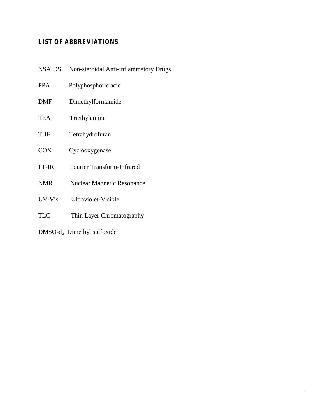# **LIST OF ABBREVIATIONS**

| <b>NSAIDS</b> | Non-steroidal Anti-inflammatory Drugs |
|---------------|---------------------------------------|
| <b>PPA</b>    | Polyphosphoric acid                   |
| <b>DMF</b>    | Dimethylformamide                     |
| <b>TEA</b>    | Triethylamine                         |
| <b>THF</b>    | Tetrahydrofuran                       |
| <b>COX</b>    | Cyclooxygenase                        |
| $FT-IR$       | <b>Fourier Transform-Infrared</b>     |
| <b>NMR</b>    | <b>Nuclear Magnetic Resonance</b>     |
| UV-Vis        | Ultraviolet-Visible                   |
| <b>TLC</b>    | Thin Layer Chromatography             |
|               | $DMSO-d6$ Dimethyl sulfoxide          |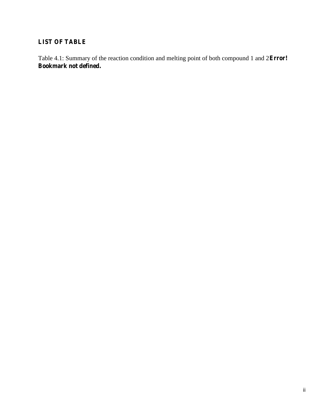# **LIST OF TABLE**

Table 4.1: Summary of the reaction condition and melting point of both compound 1 and 2**Error! Bookmark not defined.**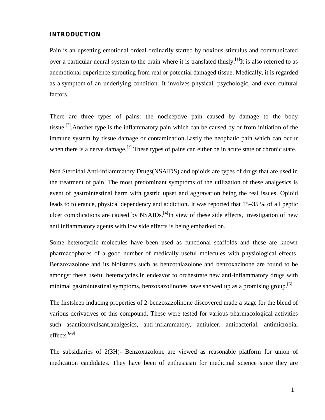### **INTRODUCTION**

Pain is an upsetting emotional ordeal ordinarily started by noxious stimulus and communicated over a particular neural system to the brain where it is translated thusly.<sup>[1]</sup>It is also referred to as anemotional experience sprouting from real or potential damaged tissue. Medically, it is regarded as a symptom of an underlying condition. It involves physical, psychologic, and even cultural factors.

There are three types of pains: the nociceptive pain caused by damage to the body tissue.<sup>[2]</sup>.Another type is the inflammatory pain which can be caused by or from initiation of the immune system by tissue damage or contamination.Lastly the neophatic pain which can occur when there is a nerve damage.<sup>[3]</sup> These types of pains can either be in acute state or chronic state.

Non Steroidal Anti-inflammatory Drugs(NSAIDS) and opioids are types of drugs that are used in the treatment of pain. The most predominant symptoms of the utilization of these analgesics is event of gastrointestinal harm with gastric upset and aggravation being the real issues. Opioid leads to tolerance, physical dependency and addiction. It was reported that 15–35 % of all peptic ulcer complications are caused by NSAIDs.<sup>[4]</sup>In view of these side effects, investigation of new anti inflammatory agents with low side effects is being embarked on.

Some heterocyclic molecules have been used as functional scaffolds and these are known pharmacophores of a good number of medically useful molecules with physiological effects. Benzoxazolone and its bioisteres such as benzothiazolone and benzoxazinone are found to be amongst these useful heterocycles.In endeavor to orchestrate new anti-inflammatory drugs with minimal gastrointestinal symptoms, benzoxazolinones have showed up as a promising group.<sup>[5]</sup>

The firstsleep inducing properties of 2-benzoxazolinone discovered made a stage for the blend of various derivatives of this compound. These were tested for various pharmacological activities such asanticonvulsant,analgesics, anti-inflammatory, antiulcer, antibacterial, antimicrobial effects $^{[6-9]}$ .

The subsidiaries of 2(3H)- Benzoxazolone are viewed as reasonable platform for union of medication candidates. They have been of enthusiasm for medicinal science since they are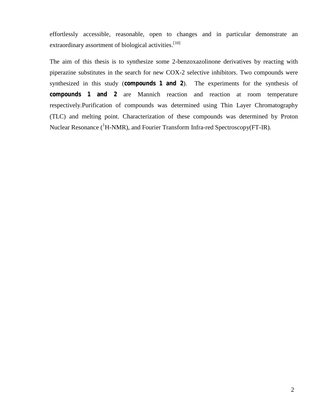effortlessly accessible, reasonable, open to changes and in particular demonstrate an extraordinary assortment of biological activities.<sup>[10]</sup>

The aim of this thesis is to synthesize some 2-benzoxazolinone derivatives by reacting with piperazine substitutes in the search for new COX-2 selective inhibitors. Two compounds were synthesized in this study (**compounds 1 and 2**). The experiments for the synthesis of **compounds 1 and 2** are Mannich reaction and reaction at room temperature respectively.Purification of compounds was determined using Thin Layer Chromatography (TLC) and melting point. Characterization of these compounds was determined by Proton Nuclear Resonance ( ${}^{1}$ H-NMR), and Fourier Transform Infra-red Spectroscopy(FT-IR).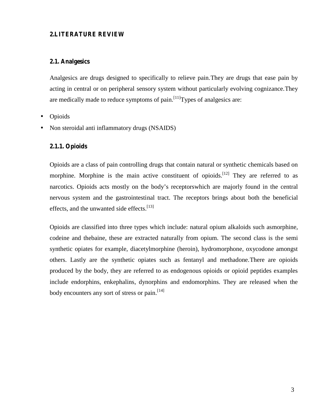### **2.LITERATURE REVIEW**

### **2.1. Analgesics**

Analgesics are drugs designed to specifically to relieve pain.They are drugs that ease pain by acting in central or on peripheral sensory system without particularly evolving cognizance.They are medically made to reduce symptoms of pain.<sup>[11]</sup>Types of analgesics are:

# Opioids

Non steroidal anti inflammatory drugs (NSAIDS)

### **2.1.1. Opioids**

Opioids are a class of pain controlling drugs that contain natural or synthetic chemicals based on morphine. Morphine is the main active constituent of opioids.<sup>[12]</sup> They are referred to as narcotics. Opioids acts mostly on the body's receptorswhich are majorly found in the central nervous system and the gastrointestinal tract. The receptors brings about both the beneficial effects, and the unwanted side effects.<sup>[13]</sup>

Opioids are classified into three types which include: natural opium alkaloids such asmorphine, codeine and thebaine, these are extracted naturally from opium. The second class is the semi synthetic opiates for example, diacetylmorphine (heroin), hydromorphone, oxycodone amongst others. Lastly are the synthetic opiates such as fentanyl and methadone.There are opioids produced by the body, they are referred to as endogenous opioids or opioid peptides examples include endorphins, enkephalins, dynorphins and endomorphins. They are released when the body encounters any sort of stress or pain.<sup>[14]</sup>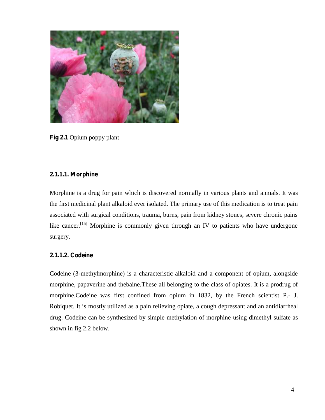

**Fig 2.1** Opium poppy plant

# **2.1.1.1. Morphine**

Morphine is a drug for pain which is discovered normally in various plants and anmals. It was the first medicinal plant alkaloid ever isolated. The primary use of this medication is to treat pain associated with surgical conditions, trauma, burns, pain from kidney stones, severe chronic pains like cancer.<sup>[15]</sup> Morphine is commonly given through an IV to patients who have undergone surgery.

# **2.1.1.2. Codeine**

Codeine (3-methylmorphine) is a characteristic alkaloid and a component of opium, alongside morphine, papaverine and thebaine.These all belonging to the class of opiates. It is a prodrug of morphine.Codeine was first confined from opium in 1832, by the French scientist P.- J. Robiquet. It is mostly utilized as a pain relieving opiate, a cough depressant and an antidiarrheal drug. Codeine can be synthesized by simple methylation of morphine using dimethyl sulfate as shown in fig 2.2 below.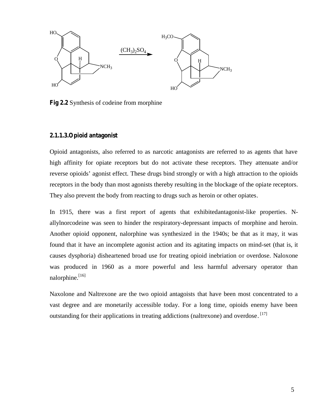

**Fig 2.2** Synthesis of codeine from morphine

### **2.1.1.3.Opioid antagonist**

Opioid antagonists, also referred to as narcotic antagonists are referred to as agents that have high affinity for opiate receptors but do not activate these receptors. They attenuate and/or reverse opioids' agonist effect. These drugs bind strongly or with a high attraction to the opioids receptors in the body than most agonists thereby resulting in the blockage of the opiate receptors. They also prevent the body from reacting to drugs such as heroin or other opiates.

In 1915, there was a first report of agents that exhibitedantagonist-like properties. Nallylnorcodeine was seen to hinder the respiratory-depressant impacts of morphine and heroin. Another opioid opponent, nalorphine was synthesized in the 1940s; be that as it may, it was found that it have an incomplete agonist action and its agitating impacts on mind-set (that is, it causes dysphoria) disheartened broad use for treating opioid inebriation or overdose. Naloxone was produced in 1960 as a more powerful and less harmful adversary operator than nalorphine.<sup>[16]</sup>

Naxolone and Naltrexone are the two opioid antagoists that have been most concentrated to a vast degree and are monetarily accessible today. For a long time, opioids enemy have been outstanding for their applications in treating addictions (naltrexone) and overdose. [17]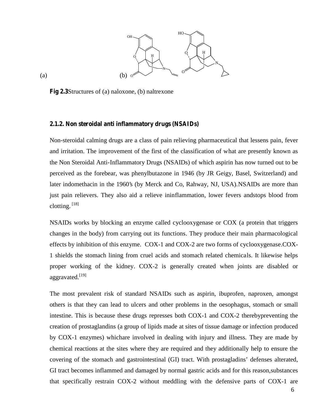

**Fig 2.3**Structures of (a) naloxone, (b) naltrexone

### **2.1.2. Non steroidal anti inflammatory drugs (NSAIDs)**

Non-steroidal calming drugs are a class of pain relieving pharmaceutical that lessens pain, fever and irritation. The improvement of the first of the classification of what are presently known as the Non Steroidal Anti-Inflammatory Drugs (NSAIDs) of which aspirin has now turned out to be perceived as the forebear, was phenylbutazone in 1946 (by JR Geigy, Basel, Switzerland) and later indomethacin in the 1960's (by Merck and Co, Rahway, NJ, USA).NSAIDs are more than just pain relievers. They also aid a relieve ininflammation, lower fevers andstops blood from clotting. [18]

NSAIDs works by blocking an enzyme called cyclooxygenase or COX (a protein that triggers changes in the body) from carrying out its functions. They produce their main pharmacological effects by inhibition of this enzyme. COX-1 and COX-2 are two forms of cyclooxygenase.COX- 1 shields the stomach lining from cruel acids and stomach related chemicals. It likewise helps proper working of the kidney. COX-2 is generally created when joints are disabled or aggravated.<sup>[19]</sup>

The most prevalent risk of standard NSAIDs such as aspirin, ibuprofen, naproxen, amongst others is that they can lead to ulcers and other problems in the oesophagus, stomach or small intestine. This is because these drugs represses both COX-1 and COX-2 therebypreventing the creation of prostaglandins (a group of lipids made at sites of tissue damage or infection produced by COX-1 enzymes) whichare involved in dealing with injury and illness. They are made by chemical reactions at the sites where they are required and they additionally help to ensure the covering of the stomach and gastrointestinal (GI) tract. With prostagladins' defenses alterated, GI tract becomes inflammed and damaged by normal gastric acids and for this reason,substances that specifically restrain COX-2 without meddling with the defensive parts of COX-1 are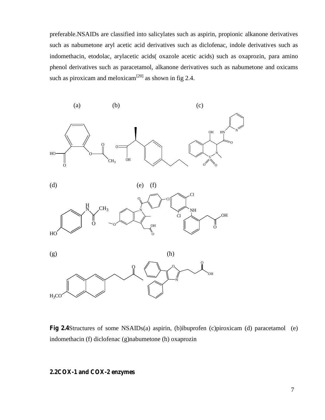preferable.NSAIDs are classified into salicylates such as aspirin, propionic alkanone derivatives such as nabumetone aryl acetic acid derivatives such as diclofenac, indole derivatives such as indomethacin, etodolac, arylacetic acids( oxazole acetic acids) such as oxaprozin, para amino phenol derivatives such as paracetamol, alkanone derivatives such as nabumetone and oxicams such as piroxicam and meloxicam<sup>[20]</sup> as shown in fig 2.4.



**Fig 2.4**Structures of some NSAIDs(a) aspirin, (b)ibuprofen (c)piroxicam (d) paracetamol (e) indomethacin (f) diclofenac (g)nabumetone (h) oxaprozin

# **2.2COX-1 and COX-2 enzymes**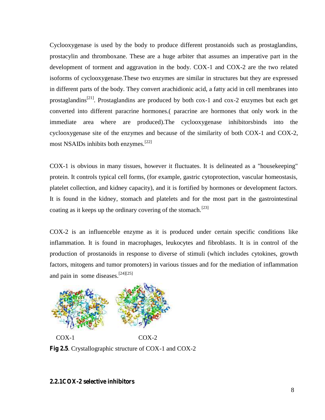Cyclooxygenase is used by the body to produce different prostanoids such as prostaglandins, prostacylin and thromboxane. These are a huge arbiter that assumes an imperative part in the development of torment and aggravation in the body. COX-1 and COX-2 are the two related isoforms of cyclooxygenase.These two enzymes are similar in structures but they are expressed in different parts of the body. They convert arachidionic acid, a fatty acid in cell membranes into prostaglandins<sup>[21]</sup>. Prostaglandins are produced by both cox-1 and cox-2 enzymes but each get converted into different paracrine hormones.( paracrine are hormones that only work in the immediate area where are produced).The cyclooxygenase inhibitorsbinds into the cyclooxygenase site of the enzymes and because of the similarity of both COX-1 and COX-2, most NSAIDs inhibits both enzymes.<sup>[22]</sup> Cyclooxygenase is used by the body to produce different prostanoids such as prostaglandins,<br>prostacylin and thromboxane. These are a huge arbiter that assumes an imperative part in the<br>development of torment and aggravatio Cyclowygenase is used by the body to produce different prostancials such as prostaglandins, recessions and imperation of the associal mitogens are a home and the associal surfactor in the inflame in the inflame interactio

COX-1 is obvious in many tissues, however it fluctuates. It is delineated as a "housekeeping" protein. It controls typical cell forms, (for example, gastric cytoprotection, vascular homeostasis, platelet collection, and kidney capacity), and it is fortified by hormones or development factors. It is found in the kidney, stomach and platelets and for the most part in the gastrointestinal coating as it keeps up the ordinary covering of the stomach.<sup>[23]</sup> cyclooxygenase site of the enzymes and because of the similarity of both COX-1 and COX-2,<br>most NSAIDs inhibits both enzymes.<sup>[22]</sup><br>COX-1 is obvious in many tissues, however it fluctuates. It is delineated as a "housekeepin

COX-2 is an influenceble enzyme as it is produced under certain specific conditions like inflammation. It is found in macrophages, leukocytes and fibroblasts. It is in control of the production of prostanoids in response to diverse of stimuli (which includes cytokines, growth factors, mitogens and tumor promoters) in various tissues and for the mediation of inflammation and pain in some diseases.<sup>[24][25]</sup>



**Fig 2.5**. Crystallographic structure of COX-1 and COX-2

# **2.2.1COX-2 selective inhibitors**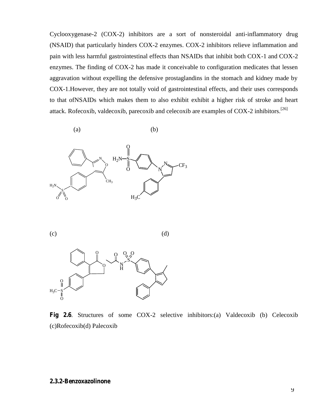Cyclooxygenase-2 (COX-2) inhibitors are a sort of nonsteroidal anti-inflammatory drug (NSAID) that particularly hinders COX-2 enzymes. COX-2 inhibitors relieve inflammation and pain with less harmful gastrointestinal effects than NSAIDs that inhibit both COX-1 and COX-2 enzymes. The finding of COX-2 has made it conceivable to configuration medicates that lessen aggravation without expelling the defensive prostaglandins in the stomach and kidney made by COX-1.However, they are not totally void of gastrointestinal effects, and their uses corresponds to that ofNSAIDs which makes them to also exhibit exhibit a higher risk of stroke and heart attack. Rofecoxib, valdecoxib, parecoxib and celecoxib are examples of COX-2 inhibitors.<sup>[26]</sup>









**Fig 2.6**. Structures of some COX-2 selective inhibitors:(a) Valdecoxib (b) Celecoxib (c)Rofecoxib(d) Palecoxib

# **2.3.2-Benzoxazolinone**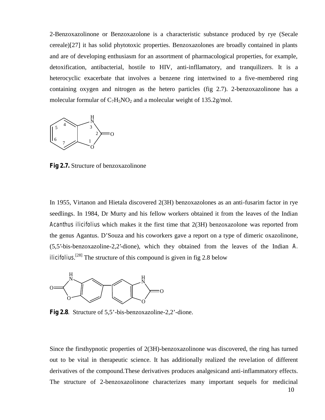2-Benzoxazolinone or Benzoxazolone is a characteristic substance produced by rye (Secale cereale)[27] it has solid phytotoxic properties. Benzoxazolones are broadly contained in plants and are of developing enthusiasm for an assortment of pharmacological properties, for example, detoxification, antibacterial, hostile to HIV, anti-infllamatory, and tranquilizers. It is a heterocyclic exacerbate that involves a benzene ring intertwined to a five-membered ring containing oxygen and nitrogen as the hetero particles (fig 2.7). 2-benzoxazolinone has a molecular formular of  $C_7H_5NO_2$  and a molecular weight of 135.2g/mol.



**Fig 2.7.** Structure of benzoxazolinone

In 1955, Virtanon and Hietala discovered 2(3H) benzoxazolones as an anti-fusarim factor in rye seedlings. In 1984, Dr Murty and his fellow workers obtained it from the leaves of the Indian *Acanthus ilicifolius* which makes it the first time that 2(3H) benzoxazolone was reported from the genus Agantus. D'Souza and his coworkers gave a report on a type of dimeric oxazolinone, (5,5'-bis-benzoxazoline-2,2'-dione), which they obtained from the leaves of the Indian *A. ilicifolius*. [28] The structure of this compound is given in fig 2.8 below



**Fig 2.8**. Structure of 5,5'-bis-benzoxazoline-2,2'-dione.

Since the firsthypnotic properties of 2(3H)-benzoxazolinone was discovered, the ring has turned out to be vital in therapeutic science. It has additionally realized the revelation of different derivatives of the compound.These derivatives produces analgesicand anti-inflammatory effects. The structure of 2-benzoxazolinone characterizes many important sequels for medicinal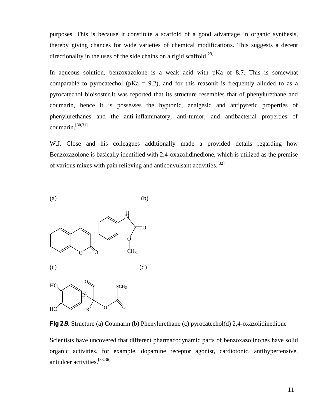purposes. This is because it constitute a scaffold of a good advantage in organic synthesis, thereby giving chances for wide varieties of chemical modifications. This suggests a decent directionality in the uses of the side chains on a rigid scaffold.<sup>29]</sup>

In aqueous solution, benzoxazolone is a weak acid with pKa of 8.7. This is somewhat comparable to pyrocatechol ( $pKa = 9.2$ ), and for this reasonit is frequently alluded to as a pyrocatechol bioisoster.It was reported that its structure resembles that of phenylurethane and coumarin, hence it is possesses the hyptonic, analgesic and antipyretic properties of phenylurethanes and the anti-inflammatory, anti-tumor, and antibacterial properties of coumarin. [30,31]

W.J. Close and his colleagues additionally made a provided details regarding how Benzoxazolone is basically identified with 2,4-oxazolidinedione, which is utilized as the premise of various mixes with pain relieving and anticonvulsant activities.<sup>[32]</sup>



**Fig 2.9**. Structure (a) Coumarin (b) Phenylurethane (c) pyrocatechol(d) 2,4-oxazolidinedione

Scientists have uncovered that different pharmacodynamic parts of benzoxazolinones have solid organic activities, for example, dopamine receptor agonist, cardiotonic, antihypertensive, antiulcer activities. [33,36]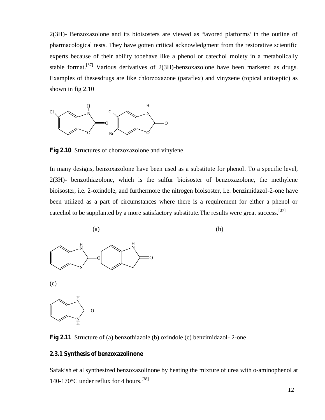2(3H)- Benzoxazolone and its bioisosters are viewed as 'favored platforms' in the outline of pharmacological tests. They have gotten critical acknowledgment from the restorative scientific experts because of their ability tobehave like a phenol or catechol moiety in a metabolically stable format.<sup>[37]</sup> Various derivatives of 2(3H)-benzoxazolone have been marketed as drugs. Examples of thesesdrugs are like chlorzoxazone (paraflex) and vinyzene (topical antiseptic) as shown in fig 2.10



**Fig 2.10**. Structures of chorzoxazolone and vinylene

In many designs, benzoxazolone have been used as a substitute for phenol. To a specific level, 2(3H)- benzothiazolone, which is the sulfur bioisoster of benzoxazolone, the methylene bioisoster, i.e. 2-oxindole, and furthermore the nitrogen bioisoster, i.e. benzimidazol-2-one have been utilized as a part of circumstances where there is a requirement for either a phenol or catechol to be supplanted by a more satisfactory substitute. The results were great success.<sup>[37]</sup>



**Fig 2.11**. Structure of (a) benzothiazole (b) oxindole (c) benzimidazol- 2-one

#### **2.3.1 Synthesis of benzoxazolinone**

Safakish et al synthesized benzoxazolinone by heating the mixture of urea with o-aminophenol at 140-170°C under reflux for 4 hours.<sup>[38]</sup>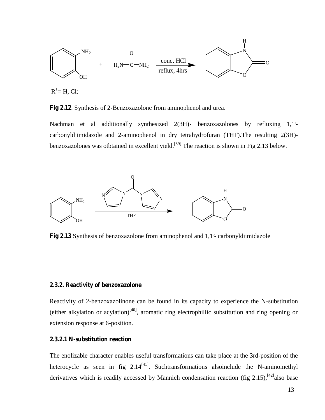$$
R1=H, CI;
$$

**Fig 2.12**. Synthesis of 2-Benzoxazolone from aminophenol and urea.

Nachman et al additionally synthesized 2(3H)- benzoxazolones by refluxing 1,1' carbonyldiimidazole and 2-aminophenol in dry tetrahydrofuran (THF).The resulting 2(3H) benzoxazolones was otbtained in excellent yield.<sup>[39]</sup> The reaction is shown in Fig 2.13 below.



**Fig 2.13** Synthesis of benzoxazolone from aminophenol and 1,1'- carbonyldiimidazole

#### **2.3.2. Reactivity of benzoxazolone**

Reactivity of 2-benzoxazolinone can be found in its capacity to experience the N-substitution (either alkylation or acylation) $[40]$ , aromatic ring electrophillic substitution and ring opening or extension response at 6-position.

### **2.3.2.1 N-substitution reaction**

The enolizable character enables useful transformations can take place at the 3rd-position of the heterocycle as seen in fig  $2.14^{[41]}$ . Suchtransformations alsoinclude the N-aminomethyl derivatives which is readily accessed by Mannich condensation reaction (fig 2.15),<sup>[42]</sup>also base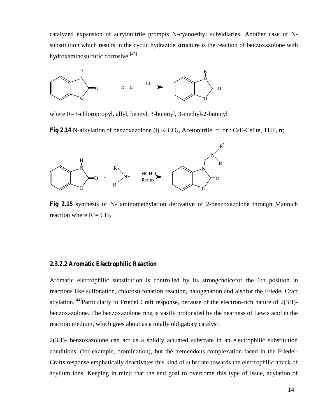catalyzed expansion of acrylonitrile prompts N-cyanoethyl subsidiaries. Another case of N substitution which results in the cyclic hydrazide structure is the reaction of benzoxazolone with hydroxaminosulfuric corrosive. [43]



where R=3-chloropropyl, allyl, benzyl, 3-butenyl, 3-methyl-2-butenyl

**Fig 2.14** N-alkylation of benzoxazolone (i)  $K_2CO_3$ , Acetonitrile, rt; or : CsF-Celite, THF, rt;



**Fig 2.15** synthesis of N- aminomethylation derivative of 2-benzoxazolone through Mannich reaction where  $R' = CH_3$ 

### **2.3.2.2 Aromatic Electrophilic Reaction**

Aromatic electrophilic substitution is controlled by its strongchoicefor the 6th position in reactions like sulfonation, chlorosulfonation reaction, halogenation and alsofor the Friedel Craft acylation.<sup>[44]</sup>Particularly to Friedel Craft response, because of the electron-rich nature of 2(3H)benzoxazolone. The benzoxazolone ring is vastly protonated by the nearness of Lewis acid in the reaction medium, which goes about as a totally obligatory catalyst.

2(3H)- benzoxazolone can act as a solidly actuated substrate in an electrophilic substitution conditions, (for example, bromination), but the tremendous complexation faced in the Friedel- Crafts response emphatically deactivates this kind of substrate towards the electrophilic attack of acylium ions. Keeping in mind that the end goal to overcome this type of issue, acylation of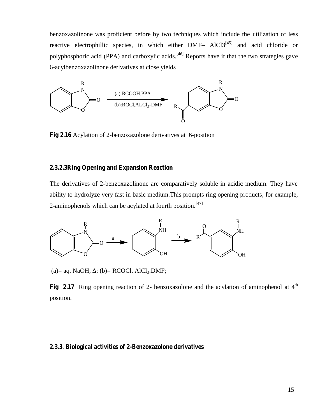benzoxazolinone was proficient before by two techniques which include the utilization of less reactive electrophillic species, in which either DMF– AlCl3<sup>[45]</sup> and acid chloride or polyphosphoric acid (PPA) and carboxylic acids.<sup>[46]</sup> Reports have it that the two strategies gave 6-acylbenzoxazolinone derivatives at close yields



**Fig 2.16** Acylation of 2-benzoxazolone derivatives at 6-position

### **2.3.2.3Ring Opening and Expansion Reaction**

The derivatives of 2-benzoxazolinone are comparatively soluble in acidic medium. They have ability to hydrolyze very fast in basic medium.This prompts ring opening products, for example, 2-aminophenols which can be acylated at fourth position.<sup>[47]</sup>



(a)= aq. NaOH,  $\;$ ; (b)= RCOCl, AlCl<sub>3</sub>.DMF;

**Fig 2.17** Ring opening reaction of 2- benzoxazolone and the acylation of aminophenol at  $4<sup>th</sup>$ position.

#### **2.3.3**. **Biological activities of 2-Benzoxazolone derivatives**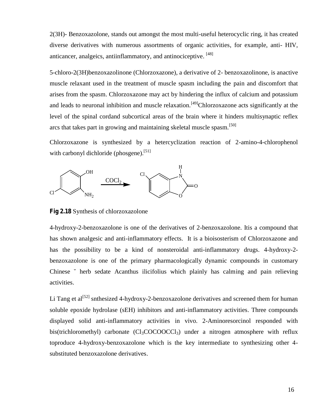2(3H)- Benzoxazolone, stands out amongst the most multi-useful heterocyclic ring, it has created diverse derivatives with numerous assortments of organic activities, for example, anti- HIV, anticancer, analgeics, antiinflammatory, and antinociceptive. [48]

5-chloro-2(3H)benzoxazolinone (Chlorzoxazone), a derivative of 2- benzoxazolinone, is anactive muscle relaxant used in the treatment of muscle spasm including the pain and discomfort that arises from the spasm. Chlorzoxazone may act by hindering the influx of calcium and potassium and leads to neuronal inhibition and muscle relaxation.<sup>[49]</sup>Chlorzoxazone acts significantly at the level of the spinal cordand subcortical areas of the brain where it hinders multisynaptic reflex arcs that takes part in growing and maintaining skeletal muscle spasm.<sup>[50]</sup>

Chlorzoxazone is synthesized by a hetercyclization reaction of 2-amino-4-chlorophenol with carbonyl dichloride (phosgene).<sup>[51]</sup>



**Fig 2.18** Synthesis of chlorzoxazolone

4-hydroxy-2-benzoxazolone is one of the derivatives of 2-benzoxazolone. Itis a compound that has shown analgesic and anti-inflammatory effects. It is a bioisosterism of Chlorzoxazone and has the possibility to be a kind of nonsteroidal anti-inflammatory drugs. 4-hydroxy-2 benzoxazolone is one of the primary pharmacologically dynamic compounds in customary Chinese ˘ herb sedate Acanthus ilicifolius which plainly has calming and pain relieving activities.

Li Tang et al<sup>[52]</sup> snthesized 4-hydroxy-2-benzoxazolone derivatives and screened them for human soluble epoxide hydrolase (sEH) inhibitors and anti-inflammatory activities. Three compounds displayed solid anti-inflammatory activities in vivo. 2-Aminoresorcinol responded with bis(trichloromethyl) carbonate  $(Cl<sub>3</sub>COCOOCCl<sub>3</sub>)$  under a nitrogen atmosphere with reflux toproduce 4-hydroxy-benzoxazolone which is the key intermediate to synthesizing other 4 substituted benzoxazolone derivatives.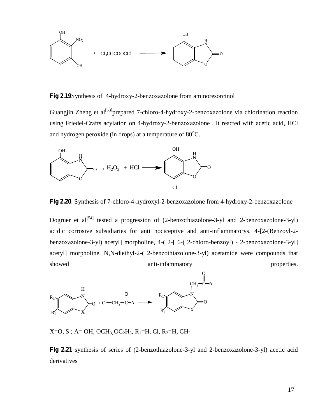

**Fig 2.19**Synthesis of 4-hydroxy-2-benzoxazolone from aminoresorcinol

Guangjin Zheng et al<sup>[53]</sup>prepared 7-chloro-4-hydroxy-2-benzoxazolone via chlorination reaction using Friedel-Crafts acylation on 4-hydroxy-2-benzoxazolone . It reacted with acetic acid, HCl and hydrogen peroxide (in drops) at a temperature of  $80^{\circ}$ C.



**Fig 2.20**. Synthesis of 7-chloro-4-hydroxyl-2-benzoxazolone from 4-hydroxy-2-benzoxazolone

Dogruer et al<sup>[54]</sup> tested a progression of (2-benzothiazolone-3-yl and 2-benzoxazolone-3-yl) acidic corrosive subsidiaries for anti nociceptive and anti-inflammatorys. 4-[2-(Benzoyl-2 benzoxazolone-3-yl) acetyl] morpholine, 4-( 2-[ 6-( 2-chloro-benzoyl) - 2-benzoxazolone-3-yl] acetyl] morpholine, N,N-diethyl-2-( 2-benzothiazolone-3-yl) acetamide were compounds that showed anti-infammatory properties.



 $X=O, S$ ; A= OH, OCH<sub>3</sub>, OC<sub>2</sub>H<sub>5</sub>, R<sub>1</sub>=H, Cl, R<sub>2</sub>=H, CH<sub>3</sub>

**Fig 2.21** synthesis of series of (2-benzothiazolone-3-yl and 2-benzoxazolone-3-yl) acetic acid derivatives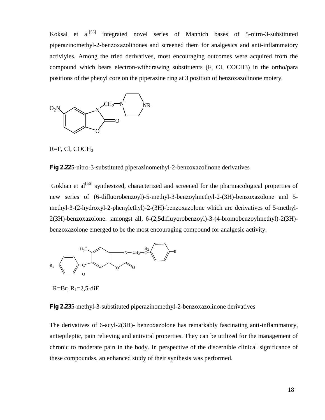Koksal et al<sup>[55]</sup> integrated novel series of Mannich bases of 5-nitro-3-substituted piperazinomethyl-2-benzoxazolinones and screened them for analgesics and anti-inflammatory activiyies. Among the tried derivatives, most encouraging outcomes were acquired from the compound which bears electron-withdrawing substituents (F, CI, COCH3) in the ortho/para positions of the phenyl core on the piperazine ring at 3 position of benzoxazolinone moiety.



R=F, Cl, COCH<sup>3</sup>

**Fig 2.22**5-nitro-3-substituted piperazinomethyl-2-benzoxazolinone derivatives

Gokhan et al<sup>[56]</sup> synthesized, characterized and screened for the pharmacological properties of new series of (6-difluorobenzoyl)-5-methyl-3-benzoylmethyl-2-(3H)-benzoxazolone and 5 methyl-3-(2-hydroxyl-2-phenylethyl)-2-(3H)-benzoxazolone which are derivatives of 5-methyl- 2(3H)-benzoxazolone. .amongst all, 6-(2,5difluyorobenzoyl)-3-(4-bromobenzoylmethyl)-2(3H) benzoxazolone emerged to be the most encouraging compound for analgesic activity.



 $R=Br; R_1=2,5-diF$ 

**Fig 2.23**5-methyl-3-substituted piperazinomethyl-2-benzoxazolinone derivatives

The derivatives of 6-acyl-2(3H)- benzoxazolone has remarkably fascinating anti-inflammatory, antiepileptic, pain relieving and antiviral properties. They can be utilized for the management of chronic to moderate pain in the body. In perspective of the discernible clinical significance of these compoundss, an enhanced study of their synthesis was performed.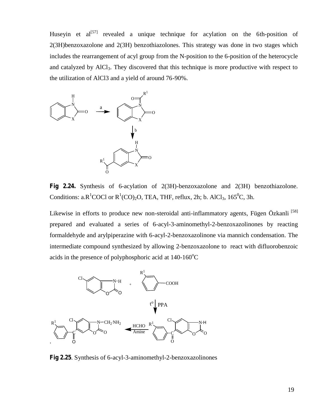Huseyin et  $al^{[57]}$  revealed a unique technique for acylation on the 6th-position of 2(3H)benzoxazolone and 2(3H) benzothiazolones. This strategy was done in two stages which includes the rearrangement of acyl group from the N-position to the 6-position of the heterocycle and catalyzed by AlCl<sub>3</sub>. They discovered that this technique is more productive with respect to the utilization of AlCl3 and a yield of around 76-90%.



**Fig 2.24.** Synthesis of 6-acylation of 2(3H)-benzoxazolone and 2(3H) benzothiazolone. Conditions: a.R<sup>1</sup>COCl or R<sup>1</sup>(CO)<sub>2</sub>O, TEA, THF, reflux, 2h; b. AlCl<sub>3</sub>, 165<sup>0</sup>C, 3h.

Likewise in efforts to produce new non-steroidal anti-inflammatory agents, Fügen Özkanli<sup>[58]</sup> prepared and evaluated a series of 6-acyl-3-aminomethyl-2-benzoxazolinones by reacting formaldehyde and arylpiperazine with 6-acyl-2-benzoxazolinone via mannich condensation. The intermediate compound synthesized by allowing 2-benzoxazolone to react with difluorobenzoic acids in the presence of polyphosphoric acid at  $140-160^{\circ}$ C



**Fig 2.25**. Synthesis of 6-acyl-3-aminomethyl-2-benzoxazolinones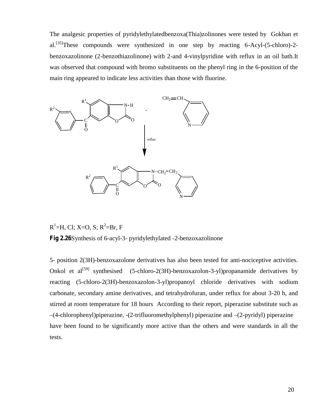The analgesic properties of pyridylethylatedbenzoxa(Thia)zolinones were tested by Gokhan et al.<sup>[35]</sup>These compounds were synthesized in one step by reacting 6-Acyl-(5-chloro)-2benzoxazolinone (2-benzothiazolinone) with 2-and 4-vinylpyridine with reflux in an oil bath.It was observed that compound with bromo substituents on the phenyl ring in the 6-position of the main ring appeared to indicate less activities than those with fluorine.



R<sup>1</sup>=H, Cl; X=O, S; R<sup>2</sup>=Br, F **Fig 2.26**Synthesis of 6-acyl-3- pyridylethylated -2-benzoxazolinone

5- position 2(3H)-benzoxazolone derivatives has also been tested for anti-nociceptive activities. Onkol et  $al^{[59]}$  synthesised (5-chloro-2(3H)-benzoxazolon-3-yl)propanamide derivatives by reacting (5-chloro-2(3H)-benzoxazolon-3-yl)propanoyl chloride derivatives with sodium carbonate, secondary amine derivatives, and tetrahydrofuran, under reflux for about 3-20 h, and stirred at room temperature for 18 hours According to their report, piperazine substitute such as –(4-chlorophenyl)piperazine, -(2-trifluoromethylphenyl) piperazine and –(2-pyridyl) piperazine have been found to be significantly more active than the others and were standards in all the tests.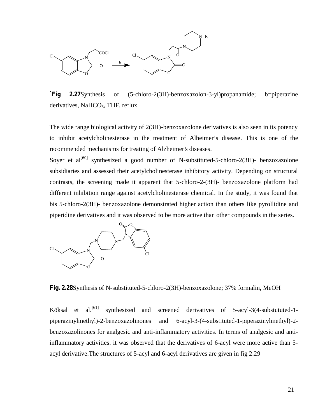

**`Fig 2.27**Synthesis of (5-chloro-2(3H)-benzoxazolon-3-yl)propanamide; b=piperazine derivatives, NaHCO<sub>3</sub>, THF, reflux

The wide range biological activity of 2(3H)-benzoxazolone derivatives is also seen in its potency to inhibit acetylcholinesterase in the treatment of Alheimer's disease. This is one of the recommended mechanisms for treating of Alzheimer's diseases.

Soyer et  $al^{[60]}$  synthesized a good number of N-substituted-5-chloro-2(3H)- benzoxazolone subsidiaries and assessed their acetylcholinesterase inhibitory activity. Depending on structural contrasts, the screening made it apparent that 5-chloro-2-(3H)- benzoxazolone platform had different inhibition range against acetylcholinesterase chemical. In the study, it was found that bis 5-chloro-2(3H)- benzoxazolone demonstrated higher action than others like pyrollidine and piperidine derivatives and it was observed to be more active than other compounds in the series.



**Fig. 2.28**Synthesis of N-substituted-5-chloro-2(3H)-benzoxazolone; 37% formalin, MeOH

Köksal et al.<sup>[61]</sup> synthesized and screened derivatives of 5-acyl-3(4-substututed-1piperazinylmethyl)-2-benzoxazolinones and 6-acyl-3-(4-substituted-1-piperazinylmethyl)-2 benzoxazolinones for analgesic and anti-inflammatory activities. In terms of analgesic and antiinflammatory activities. it was observed that the derivatives of 6-acyl were more active than 5 acyl derivative.The structures of 5-acyl and 6-acyl derivatives are given in fig 2.29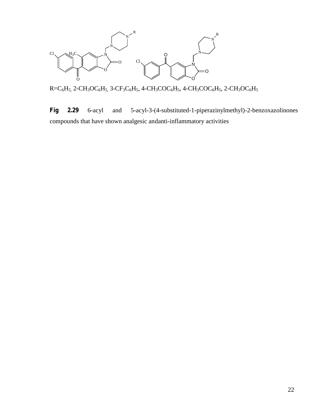

 $R=C_6H_5$ , 2-CH<sub>3</sub>OC<sub>6</sub>H<sub>5</sub>, 3-CF<sub>3</sub>C<sub>6</sub>H<sub>5</sub>, 4-CH<sub>3</sub>COC<sub>6</sub>H<sub>5</sub>, 4-CH<sub>3</sub>COC<sub>6</sub>H<sub>5</sub>, 2-CH<sub>3</sub>OC<sub>6</sub>H<sub>5</sub>

**Fig 2.29** 6-acyl and 5-acyl-3-(4-substituted-1-piperazinylmethyl)-2-benzoxazolinones compounds that have shown analgesic andanti-inflammatory activities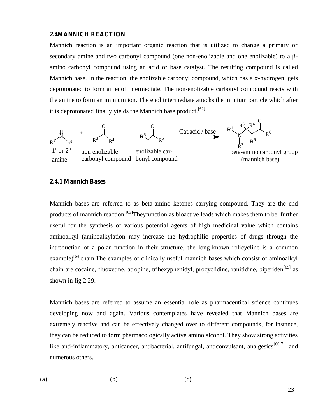### **2.4MANNICH REACTION**

Mannich reaction is an important organic reaction that is utilized to change a primary or secondary amine and two carbonyl compound (one non-enolizable and one enolizable) to a amino carbonyl compound using an acid or base catalyst. The resulting compound is called Mannich base. In the reaction, the enolizable carbonyl compound, which has a -hydrogen, gets deprotonated to form an enol intermediate. The non-enolizable carbonyl compound reacts with the amine to form an iminium ion. The enol intermediate attacks the iminium particle which after it is deprotonated finally yields the Mannich base product.<sup>[62]</sup>



### **2.4.1 Mannich Bases**

Mannich bases are referred to as beta-amino ketones carrying compound. They are the end products of mannich reaction.<sup>[63]</sup>Theyfunction as bioactive leads which makes them to be further useful for the synthesis of various potential agents of high medicinal value which contains aminoalkyl (aminoalkylation may increase the hydrophilic properties of drugs through the introduction of a polar function in their structure, the long-known rolicycline is a common example)<sup>[64]</sup>chain.The examples of clinically useful mannich bases which consist of aminoalkyl chain are cocaine, fluoxetine, atropine, trihexyphenidyl, procyclidine, ranitidine, biperiden<sup>[65]</sup> as shown in fig 2.29.

Mannich bases are referred to assume an essential role as pharmaceutical science continues developing now and again. Various contemplates have revealed that Mannich bases are extremely reactive and can be effectively changed over to different compounds, for instance, they can be reduced to form pharmacologically active amino alcohol. They show strong activities like anti-inflammatory, anticancer, antibacterial, antifungal, anticonvulsant, analgesics $[66-71]$  and numerous others.

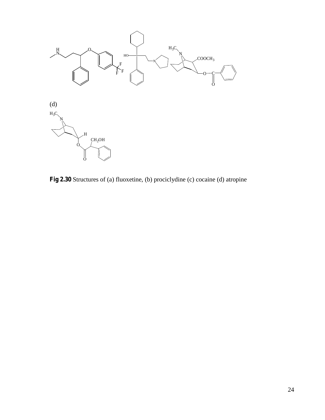

**Fig 2.30** Structures of (a) fluoxetine, (b) prociclydine (c) cocaine (d) atropine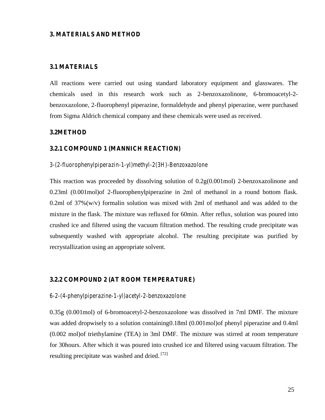### **3. MATERIALS AND METHOD**

#### **3.1 MATERIALS**

All reactions were carried out using standard laboratory equipment and glasswares. The chemicals used in this research work such as 2-benzoxazolinone, 6-bromoacetyl-2 benzoxazolone, 2-fluorophenyl piperazine, formaldehyde and phenyl piperazine, were purchased from Sigma Aldrich chemical company and these chemicals were used as received.

### **3.2METHOD**

### **3.2.1 COMPOUND 1 (MANNICH REACTION)**

### *3-(2-fluorophenylpiperazin-1-yl)methyl-2(3H)-Benzoxazolone*

This reaction was proceeded by dissolving solution of 0.2g(0.001mol) 2-benzoxazolinone and 0.23ml (0.001mol)of 2-fluorophenylpiperazine in 2ml of methanol in a round bottom flask. 0.2ml of 37%(w/v) formalin solution was mixed with 2ml of methanol and was added to the mixture in the flask. The mixture was refluxed for 60min. After reflux, solution was poured into crushed ice and filtered using the vacuum filtration method. The resulting crude precipitate was subsequently washed with appropriate alcohol. The resulting precipitate was purified by recrystallization using an appropriate solvent.

### **3.2.2 COMPOUND 2 (AT ROOM TEMPERATURE)**

#### *6-2-(4-phenylpiperazine-1-yl)acetyl-2-benzoxazolone*

0.35g (0.001mol) of 6-bromoacetyl-2-benzoxazolone was dissolved in 7ml DMF. The mixture was added dropwisely to a solution containing0.18ml (0.001mol)of phenyl piperazine and 0.4ml (0.002 mol)of triethylamine (TEA) in 3ml DMF. The mixture was stirred at room temperature for 30hours. After which it was poured into crushed ice and filtered using vacuum filtration. The resulting precipitate was washed and dried. [72]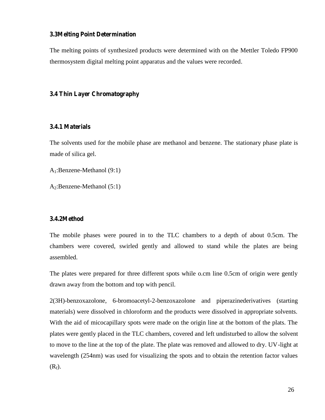### **3.3Melting Point Determination**

The melting points of synthesized products were determined with on the Mettler Toledo FP900 thermosystem digital melting point apparatus and the values were recorded.

#### **3.4 Thin Layer Chromatography**

### **3.4.1 Materials**

The solvents used for the mobile phase are methanol and benzene. The stationary phase plate is made of silica gel.

A1:Benzene-Methanol (9:1)

A2:Benzene-Methanol (5:1)

# **3.4.2Method**

The mobile phases were poured in to the TLC chambers to a depth of about 0.5cm. The chambers were covered, swirled gently and allowed to stand while the plates are being assembled.

The plates were prepared for three different spots while o.cm line 0.5cm of origin were gently drawn away from the bottom and top with pencil.

2(3H)-benzoxazolone, 6-bromoacetyl-2-benzoxazolone and piperazinederivatives (starting materials) were dissolved in chloroform and the products were dissolved in appropriate solvents. With the aid of micocapillary spots were made on the origin line at the bottom of the plats. The plates were gently placed in the TLC chambers, covered and left undisturbed to allow the solvent to move to the line at the top of the plate. The plate was removed and allowed to dry. UV-light at wavelength (254nm) was used for visualizing the spots and to obtain the retention factor values  $(R_f)$ .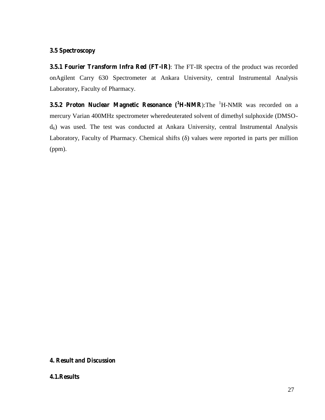# **3.5 Spectroscopy**

**3.5.1 Fourier Transform Infra Red (FT-IR)**: The FT-IR spectra of the product was recorded onAgilent Carry 630 Spectrometer at Ankara University, central Instrumental Analysis Laboratory, Faculty of Pharmacy.

**3.5.2 Proton Nuclear Magnetic Resonance (<sup>1</sup>H-NMR**):The <sup>1</sup>H-NMR was recorded on a mercury Varian 400MHz spectrometer wheredeuterated solvent of dimethyl sulphoxide (DMSO  $d_6$ ) was used. The test was conducted at Ankara University, central Instrumental Analysis Laboratory, Faculty of Pharmacy. Chemical shifts () values were reported in parts per million (ppm).

# **4. Result and Discussion**

### **4.1.Results**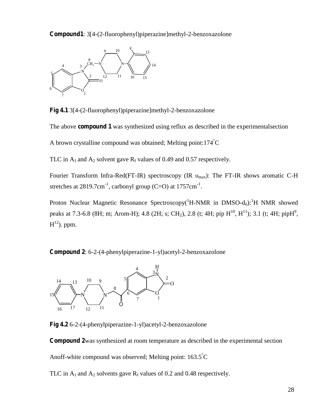**Compound1**: 3[4-(2-fluorophenyl)piperazine]methyl-2-benzoxazolone



**Fig 4.1** 3[4-(2-fluorophenyl)piperazine]methyl-2-benzoxazolone

The above **compound 1** was synthesized using reflux as described in the experimentalsection

A brown crystalline compound was obtained; Melting point:174°C

TLC in  $A_1$  and  $A_2$  solvent gave  $R_f$  values of 0.49 and 0.57 respectively.

Fourier Transform Infra-Red(FT-IR) spectroscopy (IR  $_{max}$ ): The FT-IR shows aromatic C-H stretches at 2819.7cm<sup>-1</sup>, carbonyl group (C=O) at 1757cm<sup>-1</sup>.

Proton Nuclear Magnetic Resonance Spectroscopy( ${}^{1}H$ -NMR in DMSO-d<sub>6</sub>): ${}^{1}H$  NMR showed peaks at 7.3-6.8 (8H; m; Arom-H); 4.8 (2H; s; CH<sub>2</sub>), 2.8 (t; 4H; pip H<sup>10</sup>, H<sup>11</sup>); 3.1 (t; 4H; pipH<sup>9</sup>,  $\mathrm{H^{12}}$ ). ppm.

**Compound 2**: 6-2-(4-phenylpiperazine-1-yl)acetyl-2-benzoxazolone



**Fig 4.2** 6-2-(4-phenylpiperazine-1-yl)acetyl-2-benzoxazolone

**Compound 2**was synthesized at room temperature as described in the experimental section

Anoff-white compound was observed; Melting point:  $163.5^{\circ}$ C

TLC in  $A_1$  and  $A_2$  solvents gave  $R_f$  values of 0.2 and 0.48 respectively.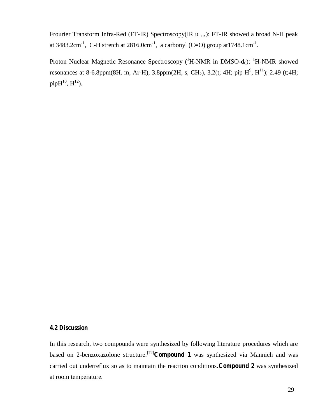Frourier Transform Infra-Red (FT-IR) Spectroscopy(IR <sub>max</sub>): FT-IR showed a broad N-H peak at 3483.2cm<sup>-1</sup>, C-H stretch at 2816.0cm<sup>-1</sup>, a carbonyl (C=O) group at 1748.1cm<sup>-1</sup>.

Proton Nuclear Magnetic Resonance Spectroscopy ( ${}^{1}$ H-NMR in DMSO-d<sub>6</sub>):  ${}^{1}$ H-NMR showed resonances at 8-6.8ppm(8H. m, Ar-H), 3.8ppm(2H, s, CH<sub>2</sub>), 3.2(t; 4H; pip H<sup>9</sup>, H<sup>11</sup>); 2.49 (t;4H;  $pipH^{10}, H^{12}$ ).

# **4.2 Discussion**

In this research, two compounds were synthesized by following literature procedures which are based on 2-benzoxazolone structure.[72]**Compound 1** was synthesized via Mannich and was carried out underreflux so as to maintain the reaction conditions.**Compound 2** was synthesized at room temperature.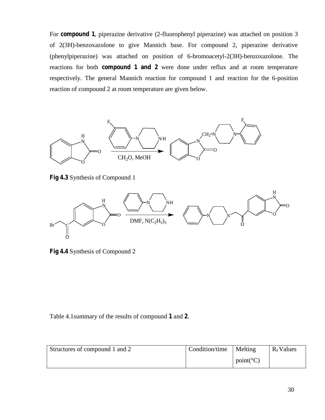For **compound 1**, piperazine derivative (2-fluorophenyl piperazine) was attached on position 3 of 2(3H)-benzoxazolone to give Mannich base. For compound 2, piperazine derivative (phenylpiperazine) was attached on position of 6-bromoacetyl-2(3H)-benzoxazolone. The reactions for both **compound 1 and 2** were done under reflux and at room temperature respectively. The general Mannich reaction for compound 1 and reaction for the 6-position reaction of compound 2 at room temperature are given below.



**Fig 4.3** Synthesis of Compound 1



**Fig 4.4** Synthesis of Compound 2

Table 4.1summary of the results of compound **1** and **2**.

| Structures of compound 1 and 2 | Condition/time | Melting            | $R_f$ Values |
|--------------------------------|----------------|--------------------|--------------|
|                                |                | $point(^{\circ}C)$ |              |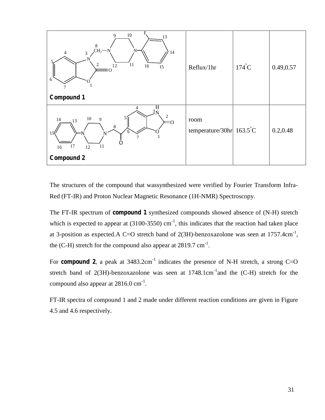

The structures of the compound that wassynthesized were verified by Fourier Transform Infra- Red (FT-IR) and Proton Nuclear Magnetic Resonance (1H-NMR) Spectroscopy.

The FT-IR spectrum of **compound 1** synthesized compounds showed absence of (N-H) stretch which is expected to appear at  $(3100-3550)$  cm<sup>-1</sup>, this indicates that the reaction had taken place at 3-position as expected. A C=O stretch band of  $2(3H)$ -benzoxazolone was seen at  $1757.4 \text{cm}^{-1}$ , the (C-H) stretch for the compound also appear at  $2819.7 \text{ cm}^{-1}$ .

For **compound 2**, a peak at  $3483.2 \text{cm}^{-1}$  indicates the presence of N-H stretch, a strong C=O stretch band of  $2(3H)$ -benzoxazolone was seen at  $1748.1cm^{-1}$  and the (C-H) stretch for the compound also appear at  $2816.0 \text{ cm}^{-1}$ .

FT-IR spectra of compound 1 and 2 made under different reaction conditions are given in Figure 4.5 and 4.6 respectively.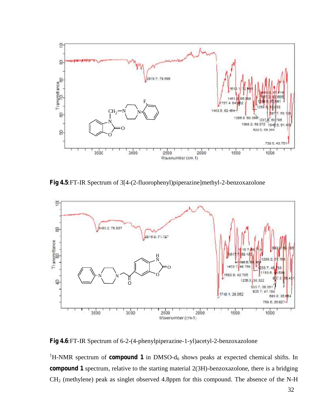

**Fig 4.5**:FT-IR Spectrum of 3[4-(2-fluorophenyl)piperazine]methyl-2-benzoxazolone



**Fig 4.6**:FT-IR Spectrum of 6-2-(4-phenylpiperazine-1-yl)acetyl-2-benzoxazolone

 ${}^{1}$ H-NMR spectrum of **compound 1** in DMSO- $d_6$  shows peaks at expected chemical shifts. In **compound 1** spectrum, relative to the starting material 2(3H)-benzoxazolone, there is a bridging CH<sup>2</sup> (methylene) peak as singlet observed 4.8ppm for this compound. The absence of the N-H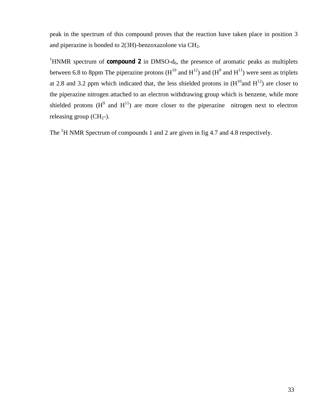peak in the spectrum of this compound proves that the reaction have taken place in position 3 and piperazine is bonded to 2(3H)-benzoxazolone via CH2.

<sup>1</sup>HNMR spectrum of **compound 2** in DMSO- $d_6$ , the presence of aromatic peaks as multiplets between 6.8 to 8ppm The piperazine protons  $(H^{10} \text{ and } H^{12})$  and  $(H^{9} \text{ and } H^{11})$  were seen as triplets at 2.8 and 3.2 ppm which indicated that, the less shielded protons in  $(H^{10}$ and  $H^{12})$  are closer to the piperazine nitrogen attached to an electron withdrawing group which is benzene, while more shielded protons  $(H^9$  and  $H^{11}$ ) are more closer to the piperazine nitrogen next to electron releasing group  $(CH<sub>2</sub>-)$ .

The <sup>1</sup>H NMR Spectrum of compounds 1 and 2 are given in fig 4.7 and 4.8 respectively.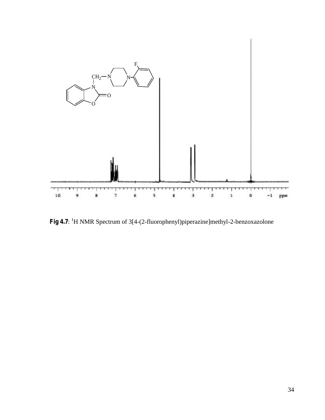

**Fig 4.7**: <sup>1</sup>H NMR Spectrum of 3[4-(2-fluorophenyl)piperazine]methyl-2-benzoxazolone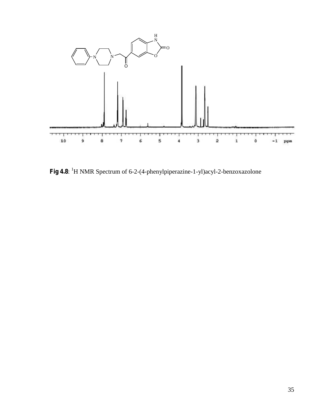

Fig 4.8: <sup>1</sup>H NMR Spectrum of 6-2-(4-phenylpiperazine-1-yl)acyl-2-benzoxazolone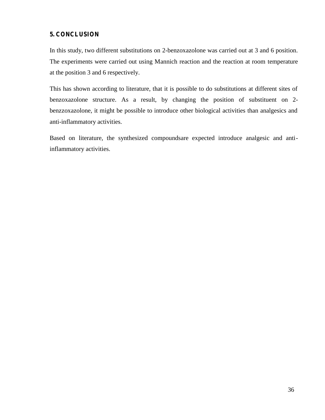# **5. CONCLUSION**

In this study, two different substitutions on 2-benzoxazolone was carried out at 3 and 6 position. The experiments were carried out using Mannich reaction and the reaction at room temperature at the position 3 and 6 respectively.

This has shown according to literature, that it is possible to do substitutions at different sites of benzoxazolone structure. As a result, by changing the position of substituent on 2 benzzoxazolone, it might be possible to introduce other biological activities than analgesics and anti-inflammatory activities.

Based on literature, the synthesized compoundsare expected introduce analgesic and antiinflammatory activities.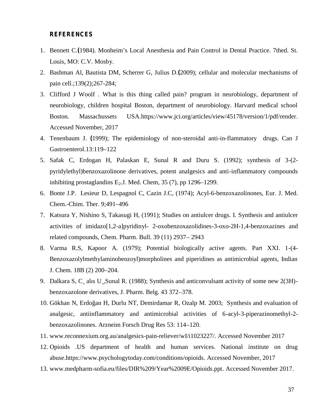### **REFERENCES**

- 1. Bennett C.**(**1984). Monheim's Local Anesthesia and Pain Control in Dental Practice. 7thed. St. Louis, MO: C.V. Mosby.
- 2. Bashman Al, Bautista DM, Scherrer G, Julius D.**(**2009); cellular and molecular mechanisms of pain cell.;139(2);267-284;
- 3. Clifford J Woolf . What is this thing called pain? program in neurobiology, department of neurobiology, children hospital Boston, department of neurobiology. Harvard medical school Boston. Massachussets USA.https://www.jci.org/articles/view/45178/version/1/pdf/render. Accessed November, 2017
- 4. Tenenbaum J. **(**1999); The epidemiology of non-steroidal anti-in-flammatory drugs. Can J Gastroenterol.13:119–122
- 5. Safak C, Erdogan H, Palaskan E, Sunal R and Duru S. (1992); synthesis of 3-(2 pyridylethyl)benzoxazolinone derivatives, potent analgesics and anti-inflammatory compounds inhibiting prostaglandins  $E_2$ . J. Med. Chem, 35 (7), pp 1296–1299.
- 6. Bonte J.P. Lesieur D, Lespagnol C, Cazin J.C, (1974); Acyl-6-benzoxazolinones, Eur. J. Med. Chem.-Chim. Ther. 9;491–496
- 7. Katsura Y, Nishino S, Takasugi H, (1991); Studies on antiulcer drugs. I. Synthesis and antiulcer activities of imidazo[1,2-a]pyridinyl- 2-oxobenzoxazolidines-3-oxo-2H-1,4-benzoxazines and related compounds, Chem. Pharm. Bull. 39 (11) 2937– 2943
- 8. Varma R.S, Kapoor A. (1979); Potential biologically active agents. Part XXI. 1-(4- Benzoxazolylmethylaminobenzoyl)morpholines and piperidines as antimicrobial agents, Indian J. Chem. 18B (2) 200–204.
- 9. Dalkara S, C¸ alıs U¸,Sunal R. (1988); Synthesis and anticonvulsant activity of some new 2(3H) benzoxazolone derivatives, J. Pharm. Belg. 43 372–378.
- 10. Gökhan N, Erdo an H, Durlu NT, Demirdamar R, Ozalp M. 2003; Synthesis and evaluation of analgesic, antiinflammatory and antimicrobial activities of 6-acyl-3-piperazinomethyl-2 benzoxazolinones. Arzneim Forsch Drug Res 53: 114–120.
- 11. www.reconnexium.org.au/analgesics-pain-reliever/wI/i1023227/. Accessed November 2017
- 12. Opioids .US department of health and human services. National institute on drug abuse.https://www.psychologytoday.com/conditions/opioids. Accessed November, 2017
- 13. www.medpharm-sofia.eu/files/DIR%209/Year%2009E/Opioids.ppt. Accessed November 2017.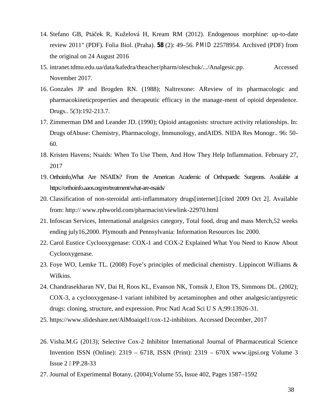- 14. Stefano GB, Ptá ek R, Kuželová H, Kream RM (2012). Endogenous morphine: up-to-date review 2011" (PDF). Folia Biol. (Praha). **58** (2): 49–56. *PMID* 22578954*.* Archived (PDF) from the original on 24 August 2016
- 15. intranet.tdmu.edu.ua/data/kafedra/theacher/pharm/oleschuk/.../Analgesic.pp. Accessed November 2017.
- 16. Gonzales JP and Brogden RN. (1988); Naltrexone: AReview of its pharmacologic and pharmacokineticproperties and therapeutic efficacy in the manage-ment of opioid dependence. Drugs.. 5(3):192-213.7.
- 17. Zimmerman DM and Leander JD. (1990); Opioid antagonists: structure activity relationships. In: Drugs ofAbuse: Chemistry, Pharmacology, Immunology, andAIDS. NIDA Res Monogr.. 96: 50- 60.
- 18. Kristen Havens; Nsaids: When To Use Them, And How They Help Inflammation. February 27, 2017
- 19. Orthoinfo,What Are NSAIDs? From the American Academic of Orthopaedic Surgeons. Available at https://orthoinfo.aaos.org/en/treatment/what-are-nsaids/
- 20. Classification of non-steroidal anti-inflammatory drugs[internet].[cited 2009 Oct 2]. Available from: http:// www.rphworld.com/pharmacist/viewlink-22970.html
- 21. Infoscan Services, International analgesics category, Total food, drug and mass Merch,52 weeks ending july16,2000. Plymouth and Pennsylvania: Information Resources Inc 2000.
- 22. Carol Eustice Cyclooxygenase: COX-1 and COX-2 Explained What You Need to Know About Cyclooxygenase.
- 23. Foye WO, Lemke TL. (2008) Foye's principles of medicinal chemistry. Lippincott Williams & Wilkins.
- 24. Chandrasekharan NV, Dai H, Roos KL, Evanson NK, Tomsik J, Elton TS, Simmons DL. (2002); COX-3, a cyclooxygenase-1 variant inhibited by acetaminophen and other analgesic/antipyretic drugs: cloning, structure, and expression. Proc Natl Acad Sci U S A;99:13926-31.
- 25. https://www.slideshare.net/AlMoaiqel1/cox-12-inhibitors. Accessed December, 2017
- 26. Visha.M.G (2013); Selective Cox-2 Inhibitor International Journal of Pharmaceutical Science Invention ISSN (Online): 2319 – 6718, ISSN (Print): 2319 – 670X www.ijpsi.org Volume 3 Issue 2 PP.28-33
- 27. Journal of Experimental Botany*,* (2004);Volume 55, Issue 402, Pages 1587–1592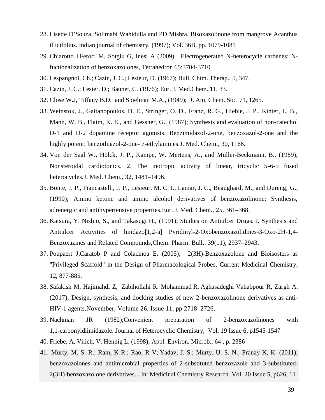- 28. Lisette D'Souza, Solimabi Wahidulla and PD Mishra. Bisoxazolinone from mangrove Acanthus illicifolius. Indian journal of chemistry. (1997); Vol. 36B, pp. 1079-1081
- 29. Chiarotto I,Feroci M, Sotgiu G, Inesi A (2009). Electrogenerated N-heterocycle carbenes: Nfuctionalization of benzoxazolones, Tetrahedron 65:3704-3710
- 30. Lespangnol, Ch.; Cazin, J. C.; Lesieur, D. (1967); Bull. Chim. Therap., 5, 347.
- 31. Cazin, J. C.; Lesier, D.; Baunet, C. (1976); Eur. J. Med.Chem.,11, 33.
- 32. Close W.J, Tiffany B.D. and Spielman M.A., (1949); J. Am. Chem. Soc. 71, 1265.
- 33. Weinstok, J., Gaitanopoulos, D. E., Stringer, O. D., Franz, R. G., Hieble, J. P., Kinter, L. B., Mann, W. B., Flaim, K. E., and Gessner, G., (1987); Synthesis and evaluation of non-catechol D-1 and D-2 dopamine receptor agonists: Benzimidazol-2-one, benzoxazol-2-one and the highly potent: benzothiazol-2-one- 7-ethylamines.J. Med. Chem.*,* 30, 1166.
- 34. Von der Saal W., Hölck, J. P., Kampe, W. Mertens, A., and Müller-Beckmann, B., (1989); Nonsteroidal cardiotonics. 2. The inotropic activity of linear, tricyclic 5-6-5 fused heterocycles.J. Med. Chem.*,* 32, 1481–1496.
- 35. Bonte, J. P., Piancastelli, J. P., Lesieur, M. C. I., Lamar, J. C., Beaughard, M., and Dureng, G., (1990); Amino ketone and amino alcohol derivatives of benzoxazolinone: Synthesis, adrenergic and antihypertensive properties.Eur. J. Med. Chem.*,* 25, 361–368.
- 36. Katsura, Y. Nishio, S., and Takasugi H., (1991); Studies on Antiulcer Drugs. I. Synthesis and Antiulcer Activities of lmidazo[1,2-a] Pyridinyl-2-Oxobenzoxazolidines-3-Oxo-2H-1,4- Benzoxazines and Related Compounds,Chem. Pharm. Bull.*,* 39(11), 2937–2943.
- 37. Poupaert J,Caratob P and Colacinoa E.(2005); 2(3H)-Benzoxazolone and Bioisosters as "Privileged Scaffold" in the Design of Pharmacological Probes. Current Medicinal Chemistry, 12, 877-885.
- 38. Safakish M, Hajimahdi Z, Zabihollahi R. Mohammad R. Aghasadeghi Vahabpour R, Zargh A. (2017); Design, synthesis, and docking studies of new 2-benzoxazolinone derivatives as anti- HIV-1 agents.November, Volume 26, Issue 11, pp 2718–2726.
- 39. Nachman JR (1982);Convenient preparation of 2 benzoxazolinones with 1,1 carbonyldiimidazole. Journal of Heterocyclic Chemistry, Vol. 19 Issue 6, p1545-1547
- 40. Friebe, A, Vilich, V. Hennig L. (1998); Appl. Environ. Microb., 64 , p. 2386
- 41. Murty, M. S. R.; Ram, K R.; Rao, R V; Yadav, J. S.; Murty, U. S. N.; Pranay K, K. (2011); benzoxazolones and antimicrobial properties of 2-substituted benzoxazole and 3-substituted- 2(3H)-benzoxazolone derivatives. . In: Medicinal Chemistry Research. Vol. 20 Issue 5, p626, 11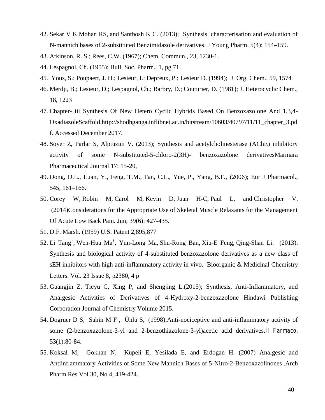- 42. Sekar V K,Mohan RS, and Santhosh K C. (2013); Synthesis, characterisation and evaluation of N-mannich bases of 2-substituted Benzimidazole derivatives. J Young Pharm. 5(4): 154–159.
- 43. Atkinson, R. S.; Rees, C.W. (1967); Chem. Commun., 23, 1230-1.
- 44. Lespagnol, Ch. (1955); Bull. Soc. Pharm., 1, pg 71.
- 45. Yous, S.; Poupaert, J. H.; Lesieur, I.; Depreux, P.; Lesieur D. (1994); J. Org. Chem., 59, 1574
- 46. Merdji, B.; Lesieur, D.; Lespagnol, Ch.; Barbry, D.; Couturier, D. (1981); J. Heterocyclic Chem., 18, 1223
- 47. Chapter- iii Synthesis Of New Hetero Cyclic Hybrids Based On Benzoxazolone And 1,3,4- OxadiazoleScaffold.http://shodhganga.inflibnet.ac.in/bitstream/10603/40797/11/11\_chapter\_3.pd f. Accessed December 2017.
- 48. Soyer Z, Parlar S, Alptuzun V. (2013); Synthesis and acetylcholinesterase (AChE) inhibitory activity of some N-substituted-5-chloro-2(3H)- benzoxazolone derivativesMarmara Pharmaceutical Journal 17: 15-20,
- 49. Dong, D.L., Luan, Y., Feng, T.M., Fan, C.L., Yue, P., Yang, B.F., (2006); Eur J Pharmacol., 545, 161–166.
- 50. Corey W, Robin M, Carol M, Kevin D, Juan H-C, Paul L, and Christopher V. (2014)Considerations for the Appropriate Use of Skeletal Muscle Relaxants for the Management Of Acute Low Back Pain. Jun; 39(6): 427-435.
- 51. D.F. Marsh. (1959) U.S. Patent 2,895,877
- 52. Li Tang† , Wen-Hua Ma† , Yun-Long Ma, Shu-Rong Ban, Xiu-E Feng,Qing-Shan Li. (2013). Synthesis and biological activity of 4-substituted benzoxazolone derivatives as a new class of sEH inhibitors with high anti-inflammatory activity in vivo. Bioorganic & Medicinal Chemistry Letters. Vol. 23 Issue 8, p2380, 4 p
- 53. Guangjin Z, Tieyu C, Xing P, and Shengjing L.(2015); Synthesis, Anti-Inflammatory, and Analgesic Activities of Derivatives of 4-Hydroxy-2-benzoxazolone Hindawi Publishing Corporation Journal of Chemistry Volume 2015.
- 54. Dogruer D S, Sahin M F , Ünlü S, (1998);Anti-nociceptive and anti-inflammatory activity of some (2-benzoxazolone-3-yl and 2-benzothiazolone-3-yl)acetic acid derivatives.*Il Farmaco*. 53(1):80-84.
- 55. Koksal M, Gokhan N, Kupeli E, Yesilada E, and Erdogan H. (2007) Analgesic and Antiinflammatory Activities of Some New Mannich Bases of 5-Nitro-2-Benzoxazolinones .Arch Pharm Res Vol 30, No 4, 419-424.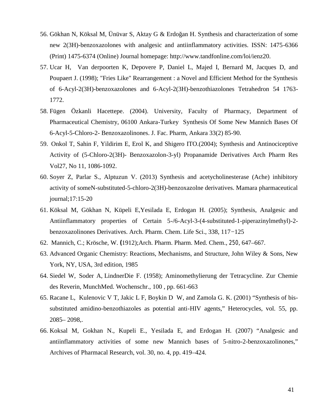- 56. Gökhan N, Köksal M, Ünüvar S, Aktay G & Erdoğan H. Synthesis and characterization of some new 2(3H)-benzoxazolones with analgesic and antiinflammatory activities. ISSN: 1475-6366 (Print) 1475-6374 (Online) Journal homepage: http://www.tandfonline.com/loi/ienz20.
- 57. Ucar H, Van derpoorten K, Depovere P, Daniel L, Majed I, Bernard M, Jacques D, and Poupaert J. (1998); "Fries Like" Rearrangement : a Novel and Efficient Method for the Synthesis of 6-Acyl-2(3H)-benzoxazolones and 6-Acyl-2(3H)-benzothiazolones Tetrahedron 54 1763- 1772.
- 58. Fügen Özkanli Hacettepe. (2004). University, Faculty of Pharmacy, Department of Pharmaceutical Chemistry, 06100 Ankara-Turkey Synthesis Of Some New Mannich Bases Of 6-Acyl-5-Chloro-2- Benzoxazolinones. J. Fac. Pharm, Ankara 33(2) 85-90.
- 59. Onkol T, Sahin F, Yildirim E, Erol K, and Shigero ITO.(2004); Synthesis and Antinociceptive Activity of (5-Chloro-2(3H)- Benzoxazolon-3-yl) Propanamide Derivatives Arch Pharm Res Vol27, No 11, 1086-1092.
- 60. Soyer Z, Parlar S., Alptuzun V. (2013) Synthesis and acetycholinesterase (Ache) inhibitory activity of someN-substituted-5-chloro-2(3H)-benzoxazolne derivatives. Mamara pharmaceutical journal;17:15-20
- 61. Köksal M, Gökhan N, Küpeli E, Yesilada E, Erdogan H. (2005); Synthesis, Analgesic and Antiinflammatory properties of Certain 5-/6-Acyl-3-(4-substituted-1-piperazinylmethyl)-2 benzoxazolinones Derivatives. Arch. Pharm. Chem. Life Sci., 338, 117−125
- 62. Mannich, C.; Krösche, W. **(**1912);Arch. Pharm. Pharm. Med. Chem., *250*, 647–667.
- 63. Advanced Organic Chemistry: Reactions, Mechanisms, and Structure, John Wiley & Sons, New York, NY, USA, 3rd edition, 1985
- 64. Siedel W, Soder A, LindnerDie F. (1958); Aminomethylierung der Tetracycline. Zur Chemie des Reverin, MunchMed. Wochenschr., 100 , pp. 661-663
- 65. Racane L, Kulenovic V T, Jakic L F, Boykin D W, and Zamola G. K. (2001) "Synthesis of bis substituted amidino-benzothiazoles as potential anti-HIV agents," Heterocycles, vol. 55, pp. 2085– 2098,.
- 66. Koksal M, Gokhan N., Kupeli E., Yesilada E, and Erdogan H. (2007) "Analgesic and antiinflammatory activities of some new Mannich bases of 5-nitro-2-benzoxazolinones," Archives of Pharmacal Research, vol. 30, no. 4, pp. 419–424.